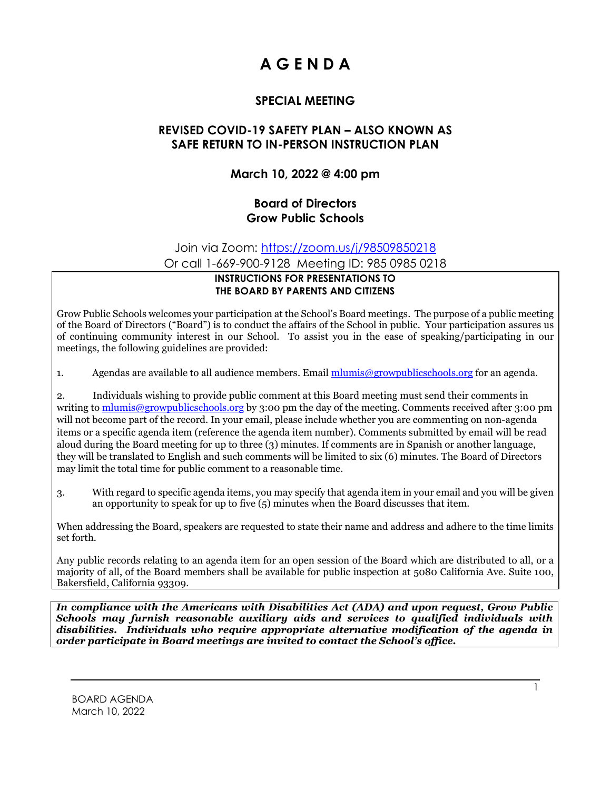# **A G E N D A**

## **SPECIAL MEETING**

#### **REVISED COVID-19 SAFETY PLAN – ALSO KNOWN AS SAFE RETURN TO IN-PERSON INSTRUCTION PLAN**

#### **March 10, 2022 @ 4:00 pm**

#### **Board of Directors Grow Public Schools**

Join via Zoom: <https://zoom.us/j/98509850218>

Or call 1-669-900-9128 Meeting ID: 985 0985 0218

#### **INSTRUCTIONS FOR PRESENTATIONS TO THE BOARD BY PARENTS AND CITIZENS**

Grow Public Schools welcomes your participation at the School's Board meetings. The purpose of a public meeting of the Board of Directors ("Board") is to conduct the affairs of the School in public. Your participation assures us of continuing community interest in our School. To assist you in the ease of speaking/participating in our meetings, the following guidelines are provided:

1. Agendas are available to all audience members. Email [mlumis@growpublicschools.org](mailto:mlumis@growpublicschools.org) for an agenda.

2. Individuals wishing to provide public comment at this Board meeting must send their comments in writing to [mlumis@growpublicschools.org](mailto:mlumis@growpublicschools.org) by 3:00 pm the day of the meeting. Comments received after 3:00 pm will not become part of the record. In your email, please include whether you are commenting on non-agenda items or a specific agenda item (reference the agenda item number). Comments submitted by email will be read aloud during the Board meeting for up to three (3) minutes. If comments are in Spanish or another language, they will be translated to English and such comments will be limited to six (6) minutes. The Board of Directors may limit the total time for public comment to a reasonable time.

3. With regard to specific agenda items, you may specify that agenda item in your email and you will be given an opportunity to speak for up to five (5) minutes when the Board discusses that item.

When addressing the Board, speakers are requested to state their name and address and adhere to the time limits set forth.

Any public records relating to an agenda item for an open session of the Board which are distributed to all, or a majority of all, of the Board members shall be available for public inspection at 5080 California Ave. Suite 100, Bakersfield, California 93309.

*In compliance with the Americans with Disabilities Act (ADA) and upon request, Grow Public Schools may furnish reasonable auxiliary aids and services to qualified individuals with disabilities. Individuals who require appropriate alternative modification of the agenda in order participate in Board meetings are invited to contact the School's office.*

1

BOARD AGENDA March 10, 2022